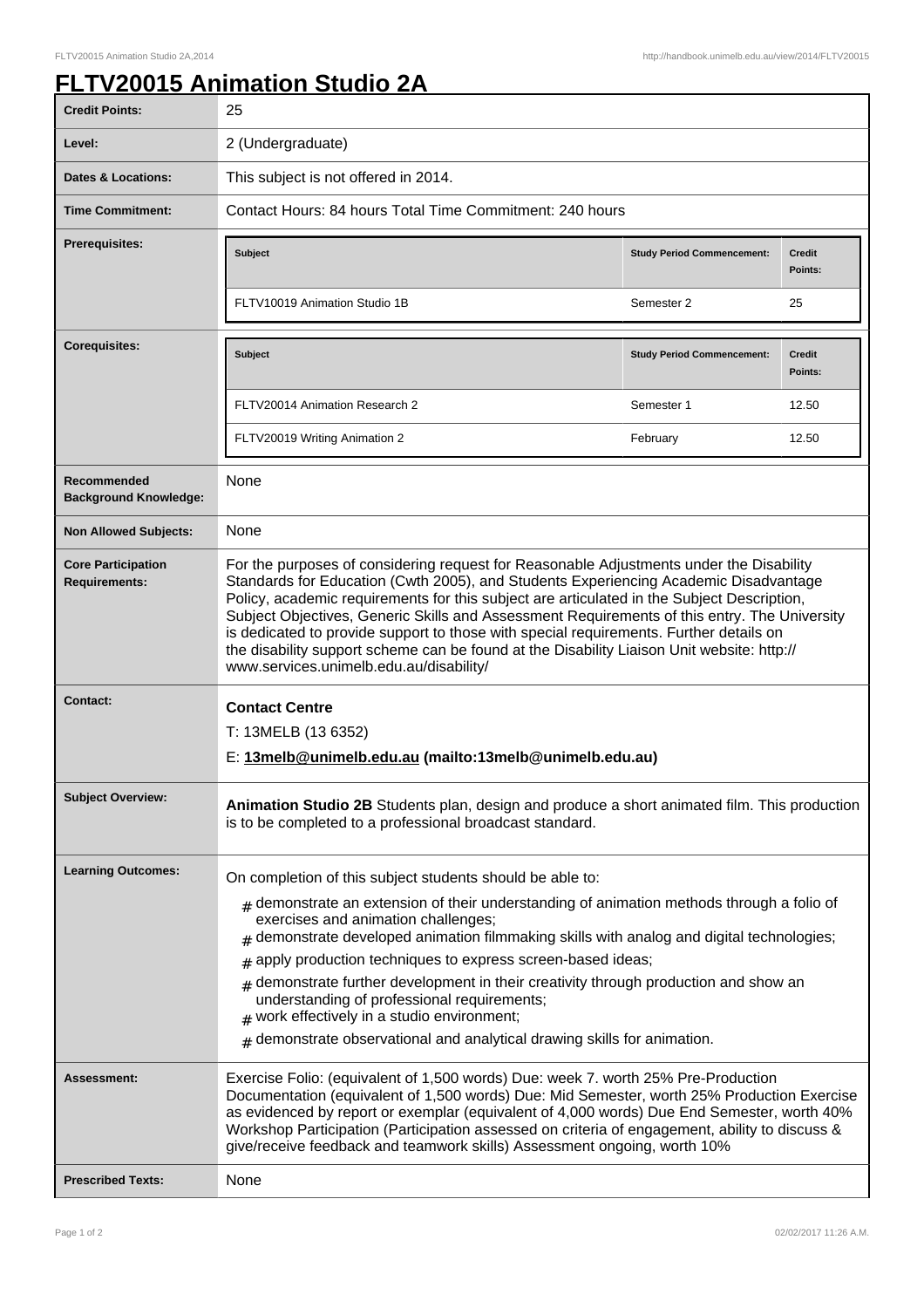## **FLTV20015 Animation Studio 2A**

| <b>Credit Points:</b>                             | 25                                                                                                                                                                                                                                                                                                                                                                                                                                                                                                                                                                                                               |                                   |                          |
|---------------------------------------------------|------------------------------------------------------------------------------------------------------------------------------------------------------------------------------------------------------------------------------------------------------------------------------------------------------------------------------------------------------------------------------------------------------------------------------------------------------------------------------------------------------------------------------------------------------------------------------------------------------------------|-----------------------------------|--------------------------|
| Level:                                            | 2 (Undergraduate)                                                                                                                                                                                                                                                                                                                                                                                                                                                                                                                                                                                                |                                   |                          |
| Dates & Locations:                                | This subject is not offered in 2014.                                                                                                                                                                                                                                                                                                                                                                                                                                                                                                                                                                             |                                   |                          |
| <b>Time Commitment:</b>                           | Contact Hours: 84 hours Total Time Commitment: 240 hours                                                                                                                                                                                                                                                                                                                                                                                                                                                                                                                                                         |                                   |                          |
| Prerequisites:                                    | <b>Subject</b>                                                                                                                                                                                                                                                                                                                                                                                                                                                                                                                                                                                                   | <b>Study Period Commencement:</b> | <b>Credit</b><br>Points: |
|                                                   | FLTV10019 Animation Studio 1B                                                                                                                                                                                                                                                                                                                                                                                                                                                                                                                                                                                    | Semester 2                        | 25                       |
| <b>Corequisites:</b>                              | <b>Subject</b>                                                                                                                                                                                                                                                                                                                                                                                                                                                                                                                                                                                                   | <b>Study Period Commencement:</b> | <b>Credit</b><br>Points: |
|                                                   | FLTV20014 Animation Research 2                                                                                                                                                                                                                                                                                                                                                                                                                                                                                                                                                                                   | Semester 1                        | 12.50                    |
|                                                   | FLTV20019 Writing Animation 2                                                                                                                                                                                                                                                                                                                                                                                                                                                                                                                                                                                    | February                          | 12.50                    |
| Recommended<br><b>Background Knowledge:</b>       | <b>None</b>                                                                                                                                                                                                                                                                                                                                                                                                                                                                                                                                                                                                      |                                   |                          |
| <b>Non Allowed Subjects:</b>                      | <b>None</b>                                                                                                                                                                                                                                                                                                                                                                                                                                                                                                                                                                                                      |                                   |                          |
| <b>Core Participation</b><br><b>Requirements:</b> | For the purposes of considering request for Reasonable Adjustments under the Disability<br>Standards for Education (Cwth 2005), and Students Experiencing Academic Disadvantage<br>Policy, academic requirements for this subject are articulated in the Subject Description,<br>Subject Objectives, Generic Skills and Assessment Requirements of this entry. The University<br>is dedicated to provide support to those with special requirements. Further details on<br>the disability support scheme can be found at the Disability Liaison Unit website: http://<br>www.services.unimelb.edu.au/disability/ |                                   |                          |
| Contact:                                          | <b>Contact Centre</b><br>T: 13MELB (13 6352)<br>E: 13melb@unimelb.edu.au (mailto:13melb@unimelb.edu.au)                                                                                                                                                                                                                                                                                                                                                                                                                                                                                                          |                                   |                          |
| <b>Subject Overview:</b>                          | Animation Studio 2B Students plan, design and produce a short animated film. This production<br>is to be completed to a professional broadcast standard.                                                                                                                                                                                                                                                                                                                                                                                                                                                         |                                   |                          |
| <b>Learning Outcomes:</b>                         | On completion of this subject students should be able to:<br>$#$ demonstrate an extension of their understanding of animation methods through a folio of<br>exercises and animation challenges;<br>$#$ demonstrate developed animation filmmaking skills with analog and digital technologies;                                                                                                                                                                                                                                                                                                                   |                                   |                          |
|                                                   |                                                                                                                                                                                                                                                                                                                                                                                                                                                                                                                                                                                                                  |                                   |                          |
|                                                   | apply production techniques to express screen-based ideas;<br>#                                                                                                                                                                                                                                                                                                                                                                                                                                                                                                                                                  |                                   |                          |
|                                                   | demonstrate further development in their creativity through production and show an<br>#<br>understanding of professional requirements;<br>work effectively in a studio environment;<br>#                                                                                                                                                                                                                                                                                                                                                                                                                         |                                   |                          |
|                                                   | demonstrate observational and analytical drawing skills for animation.<br>#                                                                                                                                                                                                                                                                                                                                                                                                                                                                                                                                      |                                   |                          |
| Assessment:                                       | Exercise Folio: (equivalent of 1,500 words) Due: week 7. worth 25% Pre-Production<br>Documentation (equivalent of 1,500 words) Due: Mid Semester, worth 25% Production Exercise<br>as evidenced by report or exemplar (equivalent of 4,000 words) Due End Semester, worth 40%<br>Workshop Participation (Participation assessed on criteria of engagement, ability to discuss &<br>give/receive feedback and teamwork skills) Assessment ongoing, worth 10%                                                                                                                                                      |                                   |                          |
| <b>Prescribed Texts:</b>                          | None                                                                                                                                                                                                                                                                                                                                                                                                                                                                                                                                                                                                             |                                   |                          |